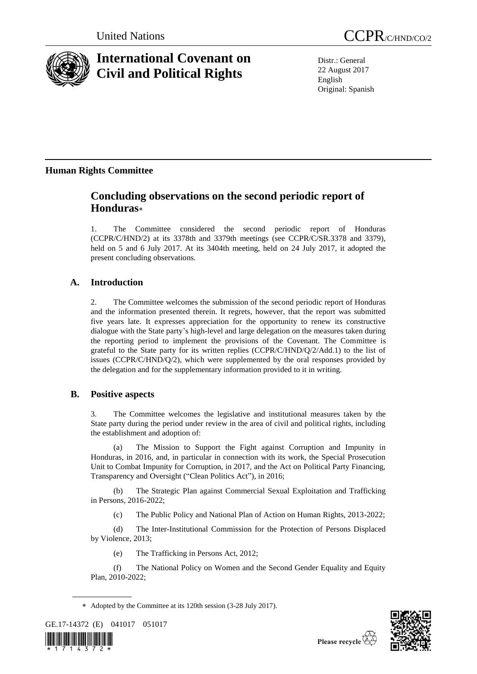

# **International Covenant on Civil and Political Rights**

United Nations CCPR/C/HND/CO/2

Distr.: General 22 August 2017 English Original: Spanish

## **Human Rights Committee**

## **Concluding observations on the second periodic report of Honduras**

1. The Committee considered the second periodic report of Honduras (CCPR/C/HND/2) at its 3378th and 3379th meetings (see CCPR/C/SR.3378 and 3379), held on 5 and 6 July 2017. At its 3404th meeting, held on 24 July 2017, it adopted the present concluding observations.

## **A. Introduction**

2. The Committee welcomes the submission of the second periodic report of Honduras and the information presented therein. It regrets, however, that the report was submitted five years late. It expresses appreciation for the opportunity to renew its constructive dialogue with the State party's high-level and large delegation on the measures taken during the reporting period to implement the provisions of the Covenant. The Committee is grateful to the State party for its written replies (CCPR/C/HND/Q/2/Add.1) to the list of issues (CCPR/C/HND/Q/2), which were supplemented by the oral responses provided by the delegation and for the supplementary information provided to it in writing.

## **B. Positive aspects**

3. The Committee welcomes the legislative and institutional measures taken by the State party during the period under review in the area of civil and political rights, including the establishment and adoption of:

(a) The Mission to Support the Fight against Corruption and Impunity in Honduras, in 2016, and, in particular in connection with its work, the Special Prosecution Unit to Combat Impunity for Corruption, in 2017, and the Act on Political Party Financing, Transparency and Oversight ("Clean Politics Act"), in 2016;

(b) The Strategic Plan against Commercial Sexual Exploitation and Trafficking in Persons, 2016-2022;

(c) The Public Policy and National Plan of Action on Human Rights, 2013-2022;

(d) The Inter-Institutional Commission for the Protection of Persons Displaced by Violence, 2013;

(e) The Trafficking in Persons Act, 2012;

(f) The National Policy on Women and the Second Gender Equality and Equity Plan, 2010-2022;

Adopted by the Committee at its 120th session (3-28 July 2017).

GE.17-14372 (E) 041017 051017



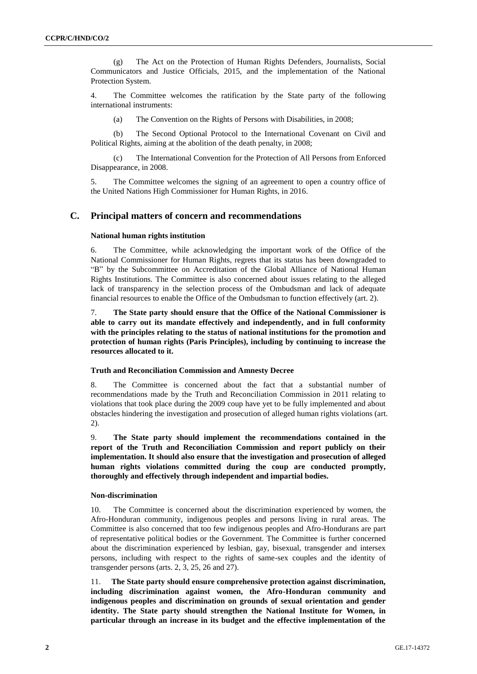(g) The Act on the Protection of Human Rights Defenders, Journalists, Social Communicators and Justice Officials, 2015, and the implementation of the National Protection System.

4. The Committee welcomes the ratification by the State party of the following international instruments:

(a) The Convention on the Rights of Persons with Disabilities, in 2008;

(b) The Second Optional Protocol to the International Covenant on Civil and Political Rights, aiming at the abolition of the death penalty, in 2008;

(c) The International Convention for the Protection of All Persons from Enforced Disappearance, in 2008.

5. The Committee welcomes the signing of an agreement to open a country office of the United Nations High Commissioner for Human Rights, in 2016.

## **C. Principal matters of concern and recommendations**

## **National human rights institution**

6. The Committee, while acknowledging the important work of the Office of the National Commissioner for Human Rights, regrets that its status has been downgraded to "B" by the Subcommittee on Accreditation of the Global Alliance of National Human Rights Institutions. The Committee is also concerned about issues relating to the alleged lack of transparency in the selection process of the Ombudsman and lack of adequate financial resources to enable the Office of the Ombudsman to function effectively (art. 2).

7. **The State party should ensure that the Office of the National Commissioner is able to carry out its mandate effectively and independently, and in full conformity with the principles relating to the status of national institutions for the promotion and protection of human rights (Paris Principles), including by continuing to increase the resources allocated to it.**

#### **Truth and Reconciliation Commission and Amnesty Decree**

8. The Committee is concerned about the fact that a substantial number of recommendations made by the Truth and Reconciliation Commission in 2011 relating to violations that took place during the 2009 coup have yet to be fully implemented and about obstacles hindering the investigation and prosecution of alleged human rights violations (art. 2).

9. **The State party should implement the recommendations contained in the report of the Truth and Reconciliation Commission and report publicly on their implementation. It should also ensure that the investigation and prosecution of alleged human rights violations committed during the coup are conducted promptly, thoroughly and effectively through independent and impartial bodies.**

## **Non-discrimination**

10. The Committee is concerned about the discrimination experienced by women, the Afro-Honduran community, indigenous peoples and persons living in rural areas. The Committee is also concerned that too few indigenous peoples and Afro-Hondurans are part of representative political bodies or the Government. The Committee is further concerned about the discrimination experienced by lesbian, gay, bisexual, transgender and intersex persons, including with respect to the rights of same-sex couples and the identity of transgender persons (arts. 2, 3, 25, 26 and 27).

11. **The State party should ensure comprehensive protection against discrimination, including discrimination against women, the Afro-Honduran community and indigenous peoples and discrimination on grounds of sexual orientation and gender identity. The State party should strengthen the National Institute for Women, in particular through an increase in its budget and the effective implementation of the**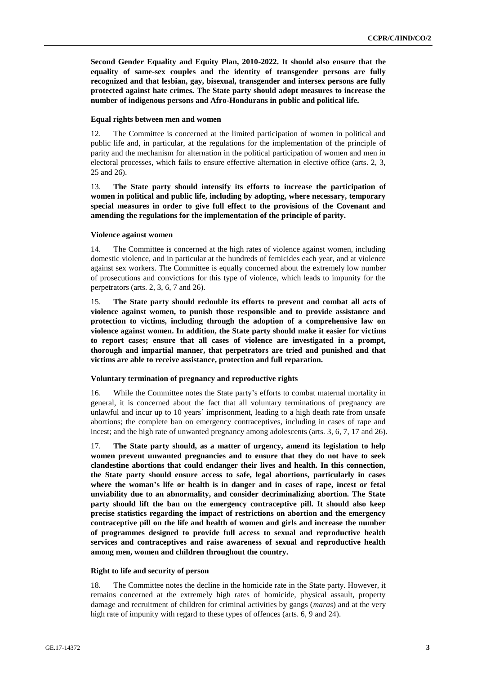**Second Gender Equality and Equity Plan, 2010-2022. It should also ensure that the equality of same-sex couples and the identity of transgender persons are fully recognized and that lesbian, gay, bisexual, transgender and intersex persons are fully protected against hate crimes. The State party should adopt measures to increase the number of indigenous persons and Afro-Hondurans in public and political life.**

### **Equal rights between men and women**

12. The Committee is concerned at the limited participation of women in political and public life and, in particular, at the regulations for the implementation of the principle of parity and the mechanism for alternation in the political participation of women and men in electoral processes, which fails to ensure effective alternation in elective office (arts. 2, 3, 25 and 26).

13. **The State party should intensify its efforts to increase the participation of women in political and public life, including by adopting, where necessary, temporary special measures in order to give full effect to the provisions of the Covenant and amending the regulations for the implementation of the principle of parity.**

#### **Violence against women**

14. The Committee is concerned at the high rates of violence against women, including domestic violence, and in particular at the hundreds of femicides each year, and at violence against sex workers. The Committee is equally concerned about the extremely low number of prosecutions and convictions for this type of violence, which leads to impunity for the perpetrators (arts. 2, 3, 6, 7 and 26).

15. **The State party should redouble its efforts to prevent and combat all acts of violence against women, to punish those responsible and to provide assistance and protection to victims, including through the adoption of a comprehensive law on violence against women. In addition, the State party should make it easier for victims to report cases; ensure that all cases of violence are investigated in a prompt, thorough and impartial manner, that perpetrators are tried and punished and that victims are able to receive assistance, protection and full reparation.**

### **Voluntary termination of pregnancy and reproductive rights**

16. While the Committee notes the State party's efforts to combat maternal mortality in general, it is concerned about the fact that all voluntary terminations of pregnancy are unlawful and incur up to 10 years' imprisonment, leading to a high death rate from unsafe abortions; the complete ban on emergency contraceptives, including in cases of rape and incest; and the high rate of unwanted pregnancy among adolescents (arts. 3, 6, 7, 17 and 26).

17. **The State party should, as a matter of urgency, amend its legislation to help women prevent unwanted pregnancies and to ensure that they do not have to seek clandestine abortions that could endanger their lives and health. In this connection, the State party should ensure access to safe, legal abortions, particularly in cases where the woman's life or health is in danger and in cases of rape, incest or fetal unviability due to an abnormality, and consider decriminalizing abortion. The State party should lift the ban on the emergency contraceptive pill. It should also keep precise statistics regarding the impact of restrictions on abortion and the emergency contraceptive pill on the life and health of women and girls and increase the number of programmes designed to provide full access to sexual and reproductive health services and contraceptives and raise awareness of sexual and reproductive health among men, women and children throughout the country.**

#### **Right to life and security of person**

18. The Committee notes the decline in the homicide rate in the State party. However, it remains concerned at the extremely high rates of homicide, physical assault, property damage and recruitment of children for criminal activities by gangs (*maras*) and at the very high rate of impunity with regard to these types of offences (arts. 6, 9 and 24).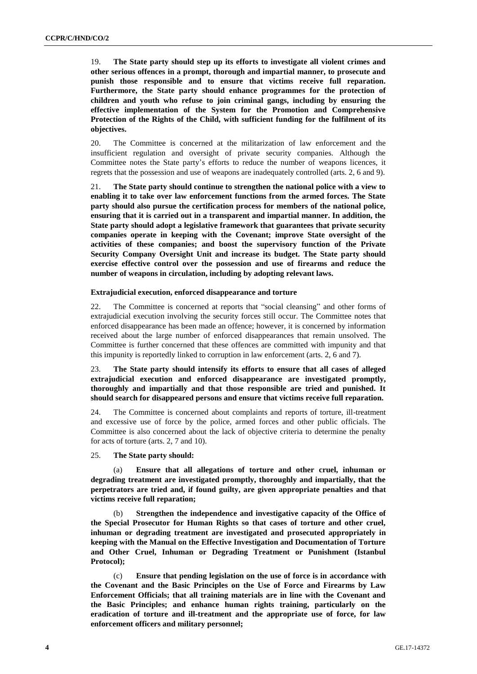19. **The State party should step up its efforts to investigate all violent crimes and other serious offences in a prompt, thorough and impartial manner, to prosecute and punish those responsible and to ensure that victims receive full reparation. Furthermore, the State party should enhance programmes for the protection of children and youth who refuse to join criminal gangs, including by ensuring the effective implementation of the System for the Promotion and Comprehensive Protection of the Rights of the Child, with sufficient funding for the fulfilment of its objectives.** 

20. The Committee is concerned at the militarization of law enforcement and the insufficient regulation and oversight of private security companies. Although the Committee notes the State party's efforts to reduce the number of weapons licences, it regrets that the possession and use of weapons are inadequately controlled (arts. 2, 6 and 9).

21. **The State party should continue to strengthen the national police with a view to enabling it to take over law enforcement functions from the armed forces. The State party should also pursue the certification process for members of the national police, ensuring that it is carried out in a transparent and impartial manner. In addition, the State party should adopt a legislative framework that guarantees that private security companies operate in keeping with the Covenant; improve State oversight of the activities of these companies; and boost the supervisory function of the Private Security Company Oversight Unit and increase its budget. The State party should exercise effective control over the possession and use of firearms and reduce the number of weapons in circulation, including by adopting relevant laws.** 

## **Extrajudicial execution, enforced disappearance and torture**

22. The Committee is concerned at reports that "social cleansing" and other forms of extrajudicial execution involving the security forces still occur. The Committee notes that enforced disappearance has been made an offence; however, it is concerned by information received about the large number of enforced disappearances that remain unsolved. The Committee is further concerned that these offences are committed with impunity and that this impunity is reportedly linked to corruption in law enforcement (arts. 2, 6 and 7).

23. **The State party should intensify its efforts to ensure that all cases of alleged extrajudicial execution and enforced disappearance are investigated promptly, thoroughly and impartially and that those responsible are tried and punished. It should search for disappeared persons and ensure that victims receive full reparation.**

24. The Committee is concerned about complaints and reports of torture, ill-treatment and excessive use of force by the police, armed forces and other public officials. The Committee is also concerned about the lack of objective criteria to determine the penalty for acts of torture (arts. 2, 7 and 10).

25. **The State party should:**

(a) **Ensure that all allegations of torture and other cruel, inhuman or degrading treatment are investigated promptly, thoroughly and impartially, that the perpetrators are tried and, if found guilty, are given appropriate penalties and that victims receive full reparation;**

(b) **Strengthen the independence and investigative capacity of the Office of the Special Prosecutor for Human Rights so that cases of torture and other cruel, inhuman or degrading treatment are investigated and prosecuted appropriately in keeping with the Manual on the Effective Investigation and Documentation of Torture and Other Cruel, Inhuman or Degrading Treatment or Punishment (Istanbul Protocol);**

(c) **Ensure that pending legislation on the use of force is in accordance with the Covenant and the Basic Principles on the Use of Force and Firearms by Law Enforcement Officials; that all training materials are in line with the Covenant and the Basic Principles; and enhance human rights training, particularly on the eradication of torture and ill-treatment and the appropriate use of force, for law enforcement officers and military personnel;**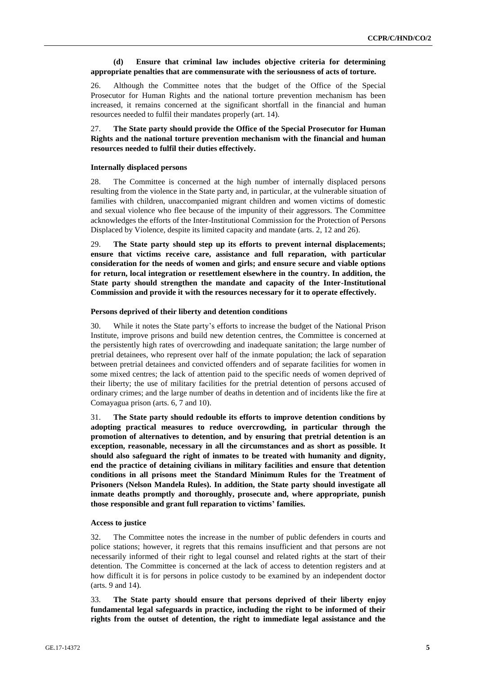## **(d) Ensure that criminal law includes objective criteria for determining appropriate penalties that are commensurate with the seriousness of acts of torture.**

26. Although the Committee notes that the budget of the Office of the Special Prosecutor for Human Rights and the national torture prevention mechanism has been increased, it remains concerned at the significant shortfall in the financial and human resources needed to fulfil their mandates properly (art. 14).

## 27. **The State party should provide the Office of the Special Prosecutor for Human Rights and the national torture prevention mechanism with the financial and human resources needed to fulfil their duties effectively.**

### **Internally displaced persons**

28. The Committee is concerned at the high number of internally displaced persons resulting from the violence in the State party and, in particular, at the vulnerable situation of families with children, unaccompanied migrant children and women victims of domestic and sexual violence who flee because of the impunity of their aggressors. The Committee acknowledges the efforts of the Inter-Institutional Commission for the Protection of Persons Displaced by Violence, despite its limited capacity and mandate (arts. 2, 12 and 26).

29. **The State party should step up its efforts to prevent internal displacements; ensure that victims receive care, assistance and full reparation, with particular consideration for the needs of women and girls; and ensure secure and viable options for return, local integration or resettlement elsewhere in the country. In addition, the State party should strengthen the mandate and capacity of the Inter-Institutional Commission and provide it with the resources necessary for it to operate effectively.**

### **Persons deprived of their liberty and detention conditions**

30. While it notes the State party's efforts to increase the budget of the National Prison Institute, improve prisons and build new detention centres, the Committee is concerned at the persistently high rates of overcrowding and inadequate sanitation; the large number of pretrial detainees, who represent over half of the inmate population; the lack of separation between pretrial detainees and convicted offenders and of separate facilities for women in some mixed centres; the lack of attention paid to the specific needs of women deprived of their liberty; the use of military facilities for the pretrial detention of persons accused of ordinary crimes; and the large number of deaths in detention and of incidents like the fire at Comayagua prison (arts. 6, 7 and 10).

31. **The State party should redouble its efforts to improve detention conditions by adopting practical measures to reduce overcrowding, in particular through the promotion of alternatives to detention, and by ensuring that pretrial detention is an exception, reasonable, necessary in all the circumstances and as short as possible. It should also safeguard the right of inmates to be treated with humanity and dignity, end the practice of detaining civilians in military facilities and ensure that detention conditions in all prisons meet the Standard Minimum Rules for the Treatment of Prisoners (Nelson Mandela Rules). In addition, the State party should investigate all inmate deaths promptly and thoroughly, prosecute and, where appropriate, punish those responsible and grant full reparation to victims' families.**

#### **Access to justice**

32. The Committee notes the increase in the number of public defenders in courts and police stations; however, it regrets that this remains insufficient and that persons are not necessarily informed of their right to legal counsel and related rights at the start of their detention. The Committee is concerned at the lack of access to detention registers and at how difficult it is for persons in police custody to be examined by an independent doctor (arts. 9 and 14).

33. **The State party should ensure that persons deprived of their liberty enjoy fundamental legal safeguards in practice, including the right to be informed of their rights from the outset of detention, the right to immediate legal assistance and the**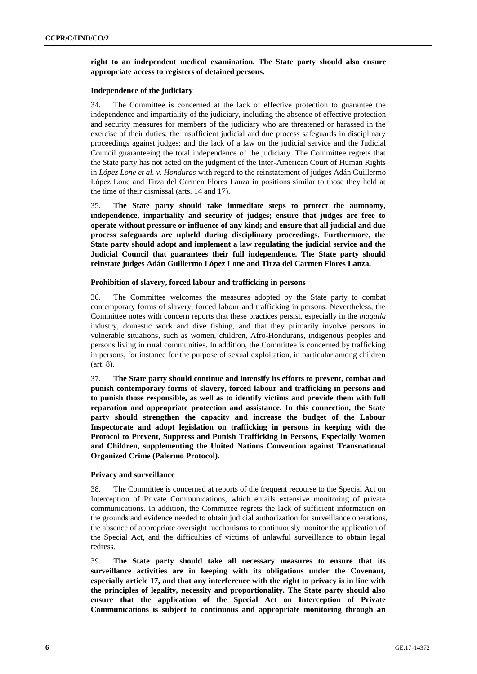## **right to an independent medical examination. The State party should also ensure appropriate access to registers of detained persons.**

### **Independence of the judiciary**

34. The Committee is concerned at the lack of effective protection to guarantee the independence and impartiality of the judiciary, including the absence of effective protection and security measures for members of the judiciary who are threatened or harassed in the exercise of their duties; the insufficient judicial and due process safeguards in disciplinary proceedings against judges; and the lack of a law on the judicial service and the Judicial Council guaranteeing the total independence of the judiciary. The Committee regrets that the State party has not acted on the judgment of the Inter-American Court of Human Rights in *López Lone et al. v. Honduras* with regard to the reinstatement of judges Adán Guillermo López Lone and Tirza del Carmen Flores Lanza in positions similar to those they held at the time of their dismissal (arts. 14 and 17).

35. **The State party should take immediate steps to protect the autonomy, independence, impartiality and security of judges; ensure that judges are free to operate without pressure or influence of any kind; and ensure that all judicial and due process safeguards are upheld during disciplinary proceedings. Furthermore, the State party should adopt and implement a law regulating the judicial service and the Judicial Council that guarantees their full independence. The State party should reinstate judges Adán Guillermo López Lone and Tirza del Carmen Flores Lanza.**

#### **Prohibition of slavery, forced labour and trafficking in persons**

36. The Committee welcomes the measures adopted by the State party to combat contemporary forms of slavery, forced labour and trafficking in persons. Nevertheless, the Committee notes with concern reports that these practices persist, especially in the *maquila*  industry, domestic work and dive fishing, and that they primarily involve persons in vulnerable situations, such as women, children, Afro-Hondurans, indigenous peoples and persons living in rural communities. In addition, the Committee is concerned by trafficking in persons, for instance for the purpose of sexual exploitation, in particular among children (art. 8).

37. **The State party should continue and intensify its efforts to prevent, combat and punish contemporary forms of slavery, forced labour and trafficking in persons and to punish those responsible, as well as to identify victims and provide them with full reparation and appropriate protection and assistance. In this connection, the State party should strengthen the capacity and increase the budget of the Labour Inspectorate and adopt legislation on trafficking in persons in keeping with the Protocol to Prevent, Suppress and Punish Trafficking in Persons, Especially Women and Children, supplementing the United Nations Convention against Transnational Organized Crime (Palermo Protocol).**

## **Privacy and surveillance**

38. The Committee is concerned at reports of the frequent recourse to the Special Act on Interception of Private Communications, which entails extensive monitoring of private communications. In addition, the Committee regrets the lack of sufficient information on the grounds and evidence needed to obtain judicial authorization for surveillance operations, the absence of appropriate oversight mechanisms to continuously monitor the application of the Special Act, and the difficulties of victims of unlawful surveillance to obtain legal redress.

39. **The State party should take all necessary measures to ensure that its surveillance activities are in keeping with its obligations under the Covenant, especially article 17, and that any interference with the right to privacy is in line with the principles of legality, necessity and proportionality. The State party should also ensure that the application of the Special Act on Interception of Private Communications is subject to continuous and appropriate monitoring through an**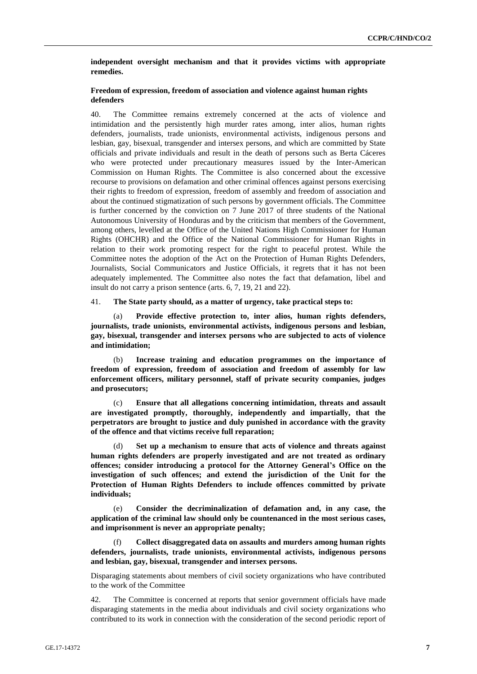## **independent oversight mechanism and that it provides victims with appropriate remedies.**

## **Freedom of expression, freedom of association and violence against human rights defenders**

40. The Committee remains extremely concerned at the acts of violence and intimidation and the persistently high murder rates among, inter alios, human rights defenders, journalists, trade unionists, environmental activists, indigenous persons and lesbian, gay, bisexual, transgender and intersex persons, and which are committed by State officials and private individuals and result in the death of persons such as Berta Cáceres who were protected under precautionary measures issued by the Inter-American Commission on Human Rights. The Committee is also concerned about the excessive recourse to provisions on defamation and other criminal offences against persons exercising their rights to freedom of expression, freedom of assembly and freedom of association and about the continued stigmatization of such persons by government officials. The Committee is further concerned by the conviction on 7 June 2017 of three students of the National Autonomous University of Honduras and by the criticism that members of the Government, among others, levelled at the Office of the United Nations High Commissioner for Human Rights (OHCHR) and the Office of the National Commissioner for Human Rights in relation to their work promoting respect for the right to peaceful protest. While the Committee notes the adoption of the Act on the Protection of Human Rights Defenders, Journalists, Social Communicators and Justice Officials, it regrets that it has not been adequately implemented. The Committee also notes the fact that defamation, libel and insult do not carry a prison sentence (arts. 6, 7, 19, 21 and 22).

41. **The State party should, as a matter of urgency, take practical steps to:**

(a) **Provide effective protection to, inter alios, human rights defenders, journalists, trade unionists, environmental activists, indigenous persons and lesbian, gay, bisexual, transgender and intersex persons who are subjected to acts of violence and intimidation;**

(b) **Increase training and education programmes on the importance of freedom of expression, freedom of association and freedom of assembly for law enforcement officers, military personnel, staff of private security companies, judges and prosecutors;**

(c) **Ensure that all allegations concerning intimidation, threats and assault are investigated promptly, thoroughly, independently and impartially, that the perpetrators are brought to justice and duly punished in accordance with the gravity of the offence and that victims receive full reparation;**

(d) **Set up a mechanism to ensure that acts of violence and threats against human rights defenders are properly investigated and are not treated as ordinary offences; consider introducing a protocol for the Attorney General's Office on the investigation of such offences; and extend the jurisdiction of the Unit for the Protection of Human Rights Defenders to include offences committed by private individuals;**

(e) **Consider the decriminalization of defamation and, in any case, the application of the criminal law should only be countenanced in the most serious cases, and imprisonment is never an appropriate penalty;**

(f) **Collect disaggregated data on assaults and murders among human rights defenders, journalists, trade unionists, environmental activists, indigenous persons and lesbian, gay, bisexual, transgender and intersex persons.**

Disparaging statements about members of civil society organizations who have contributed to the work of the Committee

42. The Committee is concerned at reports that senior government officials have made disparaging statements in the media about individuals and civil society organizations who contributed to its work in connection with the consideration of the second periodic report of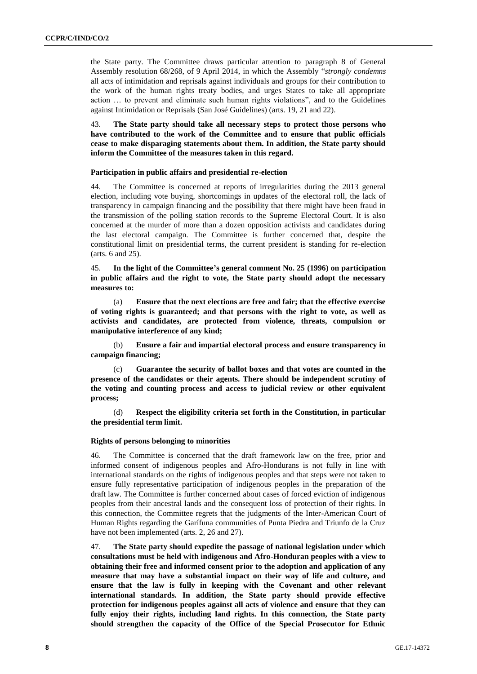the State party. The Committee draws particular attention to paragraph 8 of General Assembly resolution 68/268, of 9 April 2014, in which the Assembly "*strongly condemns* all acts of intimidation and reprisals against individuals and groups for their contribution to the work of the human rights treaty bodies, and urges States to take all appropriate action … to prevent and eliminate such human rights violations", and to the Guidelines against Intimidation or Reprisals (San José Guidelines) (arts. 19, 21 and 22).

43. **The State party should take all necessary steps to protect those persons who have contributed to the work of the Committee and to ensure that public officials cease to make disparaging statements about them. In addition, the State party should inform the Committee of the measures taken in this regard.**

## **Participation in public affairs and presidential re-election**

44. The Committee is concerned at reports of irregularities during the 2013 general election, including vote buying, shortcomings in updates of the electoral roll, the lack of transparency in campaign financing and the possibility that there might have been fraud in the transmission of the polling station records to the Supreme Electoral Court. It is also concerned at the murder of more than a dozen opposition activists and candidates during the last electoral campaign. The Committee is further concerned that, despite the constitutional limit on presidential terms, the current president is standing for re-election (arts. 6 and 25).

45. **In the light of the Committee's general comment No. 25 (1996) on participation in public affairs and the right to vote, the State party should adopt the necessary measures to:**

(a) **Ensure that the next elections are free and fair; that the effective exercise of voting rights is guaranteed; and that persons with the right to vote, as well as activists and candidates, are protected from violence, threats, compulsion or manipulative interference of any kind;**

(b) **Ensure a fair and impartial electoral process and ensure transparency in campaign financing;**

(c) **Guarantee the security of ballot boxes and that votes are counted in the presence of the candidates or their agents. There should be independent scrutiny of the voting and counting process and access to judicial review or other equivalent process;**

(d) **Respect the eligibility criteria set forth in the Constitution, in particular the presidential term limit.**

## **Rights of persons belonging to minorities**

46. The Committee is concerned that the draft framework law on the free, prior and informed consent of indigenous peoples and Afro-Hondurans is not fully in line with international standards on the rights of indigenous peoples and that steps were not taken to ensure fully representative participation of indigenous peoples in the preparation of the draft law. The Committee is further concerned about cases of forced eviction of indigenous peoples from their ancestral lands and the consequent loss of protection of their rights. In this connection, the Committee regrets that the judgments of the Inter-American Court of Human Rights regarding the Garífuna communities of Punta Piedra and Triunfo de la Cruz have not been implemented (arts. 2, 26 and 27).

47. **The State party should expedite the passage of national legislation under which consultations must be held with indigenous and Afro-Honduran peoples with a view to obtaining their free and informed consent prior to the adoption and application of any measure that may have a substantial impact on their way of life and culture, and ensure that the law is fully in keeping with the Covenant and other relevant international standards. In addition, the State party should provide effective protection for indigenous peoples against all acts of violence and ensure that they can fully enjoy their rights, including land rights. In this connection, the State party should strengthen the capacity of the Office of the Special Prosecutor for Ethnic**